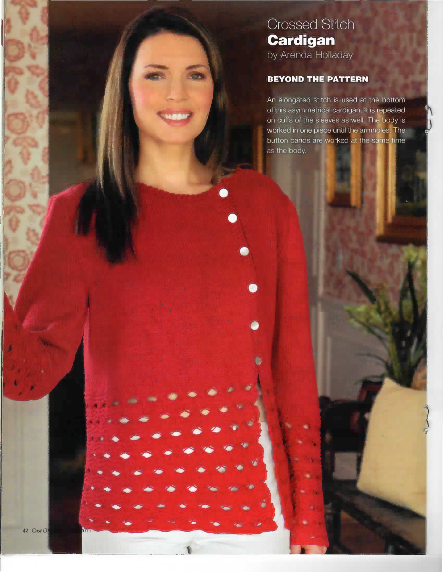# **Crossed Stitch Cardigan** by Arenda Holladay

## **BEYOND THE PATTERN**

An elongated stitch is used at the bottom of this asymmetrical cardigan. It is repeated on cuffs of the sleeves as well. The body is worked in one piece until the armholes. The button bands are worked at the same time as the body.

**O**u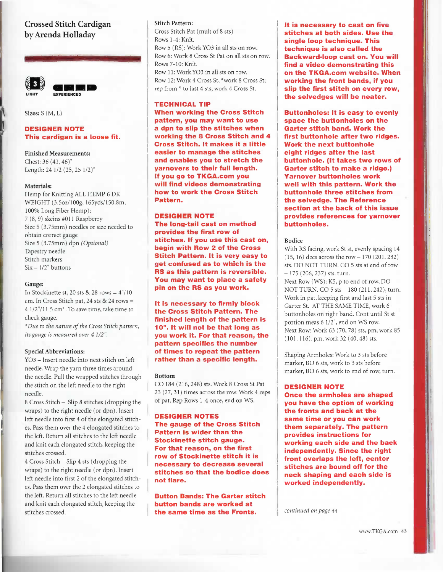### Crossed Stitch Cardigan by Arenda Holladay



Sizes: S (M, L)

#### DESIGNER NOTE This cardigan is a loose fit.

Finished Measurements: Chest: 36 (41, 46)" Length: 241/2 (25, 25 I/2)"

#### Materials:

Hemp for Knitting ALL HEMP 6 DK WEIGHT (3.5oz/100g,165yds/150.8m, 100% Long Fiber Hemp): 7 (8, 9) skeins #011 Raspberry Size 5 (3.75mm) needles or size needed to obtain correct gauge Size 5 (3.75mm) dpn (Optional) Tapestry needle Stitch markers  $Six - 1/2"$  buttons

#### Gauge:

In Stockinette st, 20 sts  $& 28$  rows =  $4''/10$ cm. In Cross Stitch pat, 24 sts & 24 rows = 41/2"/11.5 cm\*. To save time, take time to check gauge.

\*Due to the nature of the Cross Stitch pattern, its gauge is measured over 41/2".

#### Special Abbreviations:

Y03 - Insert needle into next stitch on left needle. Wrap the yarn three times around the needle. Pull the wrapped stitches through the stitch on the left needle to the right needle.

8 Cross Stitch - Slip 8 stitches (dropping the wraps) to the right needle (or dpn). Insert left needle into first 4 of the elongated stitches. Pass them over the 4 elongated stitches to the left. Return all stitches to the left needle and knit each elongated stitch, keeping the stitches crossed.

4 Cross Stitch -Slip 4 sts (dropping the wraps) to the right needle (or dpn). Insert left needle into first 2 of the elongated stitches. Pass them over the 2 elongated stitches to the left. Return all stitches to the left needle and knit each elongated stitch, keeping the stitches crossed.

#### Stitch Pattern:

Cross Stitch Pat (mult of 8 sts) Rows 1-4: Knit. Row 5 (RS): Work Y03 in all sts on row. Row 6: Work 8 Cross St Pat on all sts on row. Rows 7-10: Knit. Row 11: Work YO3 in all sts on row. Row 12: Work 4 Cross St, \*work 8 Cross St; rep from \* to last 4 sts, work 4 Cross St.

#### TECHNICAL TIP

When working the Cross Stitch pattern, you may want to use a dpn to slip the stitches when working the 8 Cross Stitch and 4 Cross Stitch. It makes it a little easier to manage the stitches and enables you to stretch the yarnovers to their full length. If you go to TKGA.com you will find videos demonstrating how to work the Cross Stitch Pattern,

#### DESIGNER NOTE

The long-tail cast on method provides the first row of stitches. If you use this cast on, begin with Row 2 of the Cross Stitch Pattern. It is very easy to get confused as to which is the RS as this pattern is reversible. You may want to place a safety pin on the RS as you work.

It is necessary to firmly block the Cross Stitch Pattern. The finished length of the pattern is 10". It will not be that long as you work it. For that reason, the pattern specifies the number of times to repeat the pattern rather than a specific length.

#### Bottom

CO 184 (216, 248) sts. Work 8 Cross St Pat 23 (27, 31) times across the row. Work 4 reps of pat. Rep Rows I -4 once, end on WS.

#### DESIGNER NOTES

The gauge of the Cross Stitch Pattern is wider than the Stockinette stitch gauge. For that reason, on the first row of Stockinette stitch it is necessary to decrease several stitches so that the bodice does not flare.

**Button Bands: The Garter stitch** button bands are worked at the same time as the Fronts.

lt is necessary to cast on five stitches at both sides. Use the single loop technique. This technique is also called the Backward-loop cast on. You will find a video demonstrating this oh the TKGA.com website. When working the front bands, if you slip the first stitch on every row, the selvedges will be neater.

Buttonholes: It is easy to evenly space the buttonholes on the Garter stitch band. Work the first buttonhole after two ridges. Work the next buttonhole eight ridges after the last buttonhole. (It takes two rows of Garter stitch to make a ridge.) Yarnover buttonholes work well with this pattern. Work the buttonhole three stitches from the selvedge. The Reference section at the back of this issue provides references for yarhover buttonholes.

#### Bodice

With RS facing, work St st, evenly spacing 14 (15,16) decs across the row -170 (201, 232) sts. DO NOT TURN. CO 5 sts at end of row -175 (206, 237) sts, turn. Next Row (WS): K5, p to end of row, DO NOT TURN. CO 5 sts - 180 (211, 242), turn. Work in pat, keeping first and last 5 sts in Garter St. AT THE SAME TIME, work 6 buttonholes on right band. Cont until St st portion meas 61/2", end on WS row. Next Row: Work 63 (70, 78) sts, pm, work 85 (101, 116), pm, work 32 (40, 48) sts.

Shaping Armholes: Work to 3 sts before marker, 80 6 sts, work to 3 sts before marker, 80 6 sts, work to end of row, turn.

#### DESIGNER NOTE

Once the armholes are shaped you have the option of working the fronts and back at the same time or you can work them separately. The pattern provides instructions for working each side and the back independently. Since the right front overlaps the left, center stitches are bound off for the neck shaping and each side is worked independently.

continued on page 44